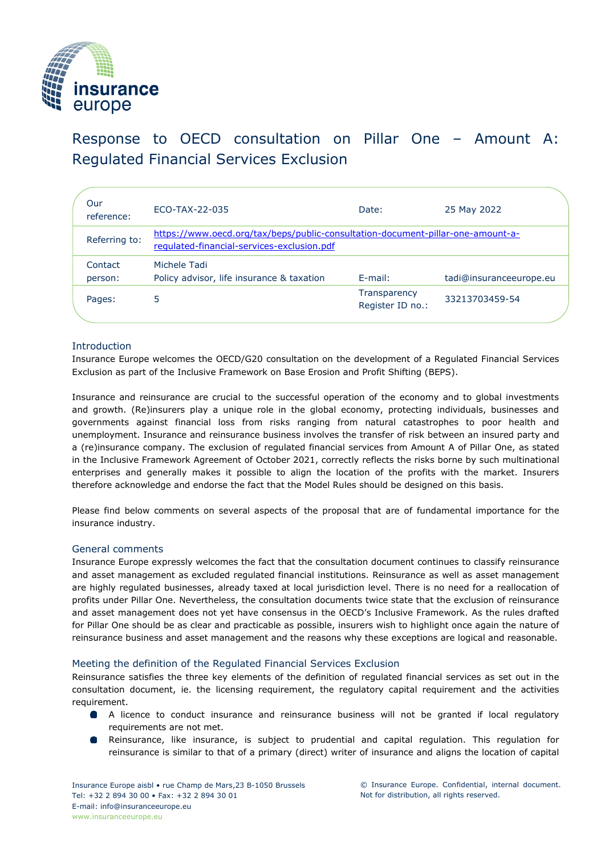

Response to OECD consultation on Pillar One – Amount A: Regulated Financial Services Exclusion

| Our<br>reference:  | ECO-TAX-22-035                                                                                                                | Date:                            | 25 May 2022             |
|--------------------|-------------------------------------------------------------------------------------------------------------------------------|----------------------------------|-------------------------|
| Referring to:      | https://www.oecd.org/tax/beps/public-consultation-document-pillar-one-amount-a-<br>regulated-financial-services-exclusion.pdf |                                  |                         |
| Contact<br>person: | Michele Tadi<br>Policy advisor, life insurance & taxation                                                                     | $E$ -mail:                       | tadi@insuranceeurope.eu |
| Pages:             | 5                                                                                                                             | Transparency<br>Register ID no.: | 33213703459-54          |
|                    |                                                                                                                               |                                  |                         |

# Introduction

Insurance Europe welcomes the OECD/G20 consultation on the development of a Regulated Financial Services Exclusion as part of the Inclusive Framework on Base Erosion and Profit Shifting (BEPS).

Insurance and reinsurance are crucial to the successful operation of the economy and to global investments and growth. (Re)insurers play a unique role in the global economy, protecting individuals, businesses and governments against financial loss from risks ranging from natural catastrophes to poor health and unemployment. Insurance and reinsurance business involves the transfer of risk between an insured party and a (re)insurance company. The exclusion of regulated financial services from Amount A of Pillar One, as stated in the Inclusive Framework Agreement of October 2021, correctly reflects the risks borne by such multinational enterprises and generally makes it possible to align the location of the profits with the market. Insurers therefore acknowledge and endorse the fact that the Model Rules should be designed on this basis.

Please find below comments on several aspects of the proposal that are of fundamental importance for the insurance industry.

## General comments

Insurance Europe expressly welcomes the fact that the consultation document continues to classify reinsurance and asset management as excluded regulated financial institutions. Reinsurance as well as asset management are highly regulated businesses, already taxed at local jurisdiction level. There is no need for a reallocation of profits under Pillar One. Nevertheless, the consultation documents twice state that the exclusion of reinsurance and asset management does not yet have consensus in the OECD's Inclusive Framework. As the rules drafted for Pillar One should be as clear and practicable as possible, insurers wish to highlight once again the nature of reinsurance business and asset management and the reasons why these exceptions are logical and reasonable.

## Meeting the definition of the Regulated Financial Services Exclusion

Reinsurance satisfies the three key elements of the definition of regulated financial services as set out in the consultation document, ie. the licensing requirement, the regulatory capital requirement and the activities requirement.

- A licence to conduct insurance and reinsurance business will not be granted if local regulatory requirements are not met.
- Reinsurance, like insurance, is subject to prudential and capital regulation. This regulation for reinsurance is similar to that of a primary (direct) writer of insurance and aligns the location of capital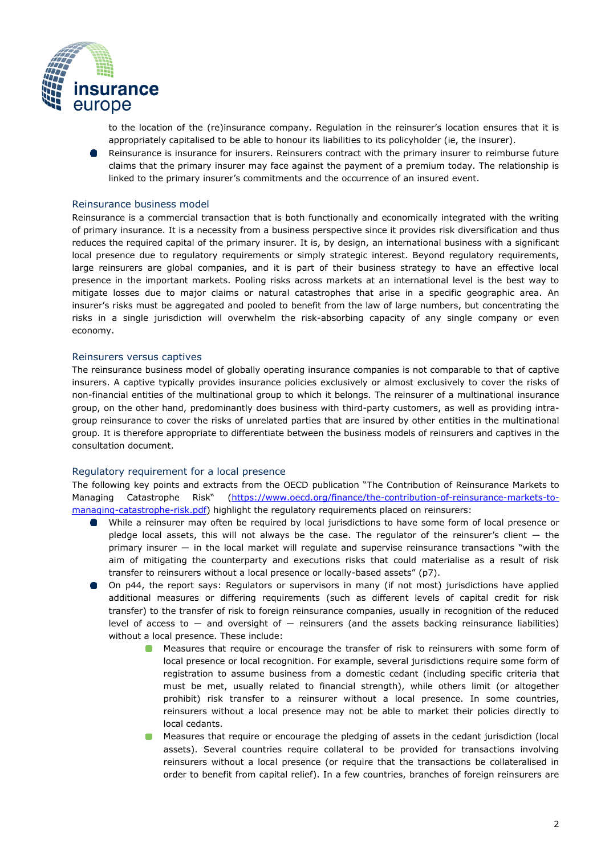

to the location of the (re)insurance company. Regulation in the reinsurer's location ensures that it is appropriately capitalised to be able to honour its liabilities to its policyholder (ie, the insurer).

Reinsurance is insurance for insurers. Reinsurers contract with the primary insurer to reimburse future claims that the primary insurer may face against the payment of a premium today. The relationship is linked to the primary insurer's commitments and the occurrence of an insured event.

### Reinsurance business model

Reinsurance is a commercial transaction that is both functionally and economically integrated with the writing of primary insurance. It is a necessity from a business perspective since it provides risk diversification and thus reduces the required capital of the primary insurer. It is, by design, an international business with a significant local presence due to regulatory requirements or simply strategic interest. Beyond regulatory requirements, large reinsurers are global companies, and it is part of their business strategy to have an effective local presence in the important markets. Pooling risks across markets at an international level is the best way to mitigate losses due to major claims or natural catastrophes that arise in a specific geographic area. An insurer's risks must be aggregated and pooled to benefit from the law of large numbers, but concentrating the risks in a single jurisdiction will overwhelm the risk-absorbing capacity of any single company or even economy.

#### Reinsurers versus captives

The reinsurance business model of globally operating insurance companies is not comparable to that of captive insurers. A captive typically provides insurance policies exclusively or almost exclusively to cover the risks of non-financial entities of the multinational group to which it belongs. The reinsurer of a multinational insurance group, on the other hand, predominantly does business with third-party customers, as well as providing intragroup reinsurance to cover the risks of unrelated parties that are insured by other entities in the multinational group. It is therefore appropriate to differentiate between the business models of reinsurers and captives in the consultation document.

#### Regulatory requirement for a local presence

The following key points and extracts from the OECD publication "The Contribution of Reinsurance Markets to Managing Catastrophe Risk" [\(https://www.oecd.org/finance/the-contribution-of-reinsurance-markets-to](https://www.oecd.org/finance/the-contribution-of-reinsurance-markets-to-managing-catastrophe-risk.pdf)[managing-catastrophe-risk.pdf\)](https://www.oecd.org/finance/the-contribution-of-reinsurance-markets-to-managing-catastrophe-risk.pdf) highlight the regulatory requirements placed on reinsurers:

- While a reinsurer may often be required by local jurisdictions to have some form of local presence or  $\bullet$ pledge local assets, this will not always be the case. The regulator of the reinsurer's client  $-$  the primary insurer ― in the local market will regulate and supervise reinsurance transactions "with the aim of mitigating the counterparty and executions risks that could materialise as a result of risk transfer to reinsurers without a local presence or locally-based assets" (p7).
- On p44, the report says: Regulators or supervisors in many (if not most) jurisdictions have applied additional measures or differing requirements (such as different levels of capital credit for risk transfer) to the transfer of risk to foreign reinsurance companies, usually in recognition of the reduced level of access to  $-$  and oversight of  $-$  reinsurers (and the assets backing reinsurance liabilities) without a local presence. These include:
	- **Measures that require or encourage the transfer of risk to reinsurers with some form of** local presence or local recognition. For example, several jurisdictions require some form of registration to assume business from a domestic cedant (including specific criteria that must be met, usually related to financial strength), while others limit (or altogether prohibit) risk transfer to a reinsurer without a local presence. In some countries, reinsurers without a local presence may not be able to market their policies directly to local cedants.
	- **Measures that require or encourage the pledging of assets in the cedant jurisdiction (local** assets). Several countries require collateral to be provided for transactions involving reinsurers without a local presence (or require that the transactions be collateralised in order to benefit from capital relief). In a few countries, branches of foreign reinsurers are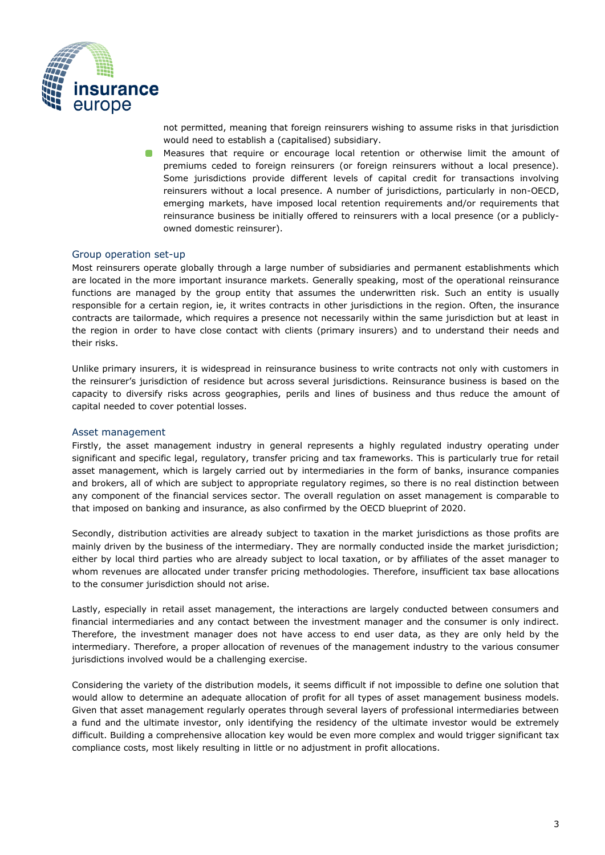

not permitted, meaning that foreign reinsurers wishing to assume risks in that jurisdiction would need to establish a (capitalised) subsidiary.

Measures that require or encourage local retention or otherwise limit the amount of premiums ceded to foreign reinsurers (or foreign reinsurers without a local presence). Some jurisdictions provide different levels of capital credit for transactions involving reinsurers without a local presence. A number of jurisdictions, particularly in non-OECD, emerging markets, have imposed local retention requirements and/or requirements that reinsurance business be initially offered to reinsurers with a local presence (or a publiclyowned domestic reinsurer).

### Group operation set-up

Most reinsurers operate globally through a large number of subsidiaries and permanent establishments which are located in the more important insurance markets. Generally speaking, most of the operational reinsurance functions are managed by the group entity that assumes the underwritten risk. Such an entity is usually responsible for a certain region, ie, it writes contracts in other jurisdictions in the region. Often, the insurance contracts are tailormade, which requires a presence not necessarily within the same jurisdiction but at least in the region in order to have close contact with clients (primary insurers) and to understand their needs and their risks.

Unlike primary insurers, it is widespread in reinsurance business to write contracts not only with customers in the reinsurer's jurisdiction of residence but across several jurisdictions. Reinsurance business is based on the capacity to diversify risks across geographies, perils and lines of business and thus reduce the amount of capital needed to cover potential losses.

#### Asset management

Firstly, the asset management industry in general represents a highly regulated industry operating under significant and specific legal, regulatory, transfer pricing and tax frameworks. This is particularly true for retail asset management, which is largely carried out by intermediaries in the form of banks, insurance companies and brokers, all of which are subject to appropriate regulatory regimes, so there is no real distinction between any component of the financial services sector. The overall regulation on asset management is comparable to that imposed on banking and insurance, as also confirmed by the OECD blueprint of 2020.

Secondly, distribution activities are already subject to taxation in the market jurisdictions as those profits are mainly driven by the business of the intermediary. They are normally conducted inside the market jurisdiction; either by local third parties who are already subject to local taxation, or by affiliates of the asset manager to whom revenues are allocated under transfer pricing methodologies. Therefore, insufficient tax base allocations to the consumer jurisdiction should not arise.

Lastly, especially in retail asset management, the interactions are largely conducted between consumers and financial intermediaries and any contact between the investment manager and the consumer is only indirect. Therefore, the investment manager does not have access to end user data, as they are only held by the intermediary. Therefore, a proper allocation of revenues of the management industry to the various consumer jurisdictions involved would be a challenging exercise.

Considering the variety of the distribution models, it seems difficult if not impossible to define one solution that would allow to determine an adequate allocation of profit for all types of asset management business models. Given that asset management regularly operates through several layers of professional intermediaries between a fund and the ultimate investor, only identifying the residency of the ultimate investor would be extremely difficult. Building a comprehensive allocation key would be even more complex and would trigger significant tax compliance costs, most likely resulting in little or no adjustment in profit allocations.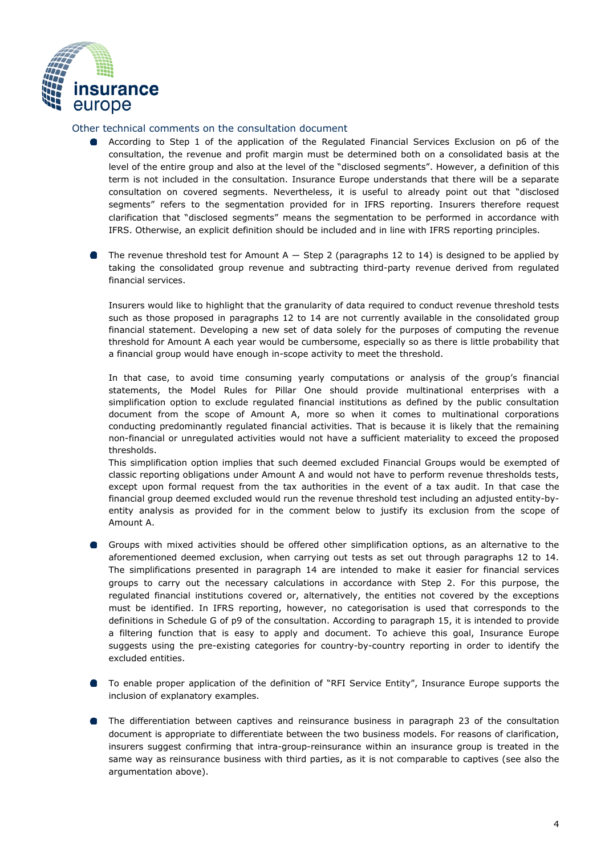

# Other technical comments on the consultation document

- According to Step 1 of the application of the Regulated Financial Services Exclusion on p6 of the consultation, the revenue and profit margin must be determined both on a consolidated basis at the level of the entire group and also at the level of the "disclosed segments". However, a definition of this term is not included in the consultation. Insurance Europe understands that there will be a separate consultation on covered segments. Nevertheless, it is useful to already point out that "disclosed segments" refers to the segmentation provided for in IFRS reporting. Insurers therefore request clarification that "disclosed segments" means the segmentation to be performed in accordance with IFRS. Otherwise, an explicit definition should be included and in line with IFRS reporting principles.
- The revenue threshold test for Amount  $A -$  Step 2 (paragraphs 12 to 14) is designed to be applied by taking the consolidated group revenue and subtracting third-party revenue derived from regulated financial services.

Insurers would like to highlight that the granularity of data required to conduct revenue threshold tests such as those proposed in paragraphs 12 to 14 are not currently available in the consolidated group financial statement. Developing a new set of data solely for the purposes of computing the revenue threshold for Amount A each year would be cumbersome, especially so as there is little probability that a financial group would have enough in-scope activity to meet the threshold.

In that case, to avoid time consuming yearly computations or analysis of the group's financial statements, the Model Rules for Pillar One should provide multinational enterprises with a simplification option to exclude regulated financial institutions as defined by the public consultation document from the scope of Amount A, more so when it comes to multinational corporations conducting predominantly regulated financial activities. That is because it is likely that the remaining non-financial or unregulated activities would not have a sufficient materiality to exceed the proposed thresholds.

This simplification option implies that such deemed excluded Financial Groups would be exempted of classic reporting obligations under Amount A and would not have to perform revenue thresholds tests, except upon formal request from the tax authorities in the event of a tax audit. In that case the financial group deemed excluded would run the revenue threshold test including an adjusted entity-byentity analysis as provided for in the comment below to justify its exclusion from the scope of Amount A.

- Groups with mixed activities should be offered other simplification options, as an alternative to the aforementioned deemed exclusion, when carrying out tests as set out through paragraphs 12 to 14. The simplifications presented in paragraph 14 are intended to make it easier for financial services groups to carry out the necessary calculations in accordance with Step 2. For this purpose, the regulated financial institutions covered or, alternatively, the entities not covered by the exceptions must be identified. In IFRS reporting, however, no categorisation is used that corresponds to the definitions in Schedule G of p9 of the consultation. According to paragraph 15, it is intended to provide a filtering function that is easy to apply and document. To achieve this goal, Insurance Europe suggests using the pre-existing categories for country-by-country reporting in order to identify the excluded entities.
- To enable proper application of the definition of "RFI Service Entity", Insurance Europe supports the inclusion of explanatory examples.
- **The differentiation between captives and reinsurance business in paragraph 23 of the consultation** document is appropriate to differentiate between the two business models. For reasons of clarification, insurers suggest confirming that intra-group-reinsurance within an insurance group is treated in the same way as reinsurance business with third parties, as it is not comparable to captives (see also the argumentation above).